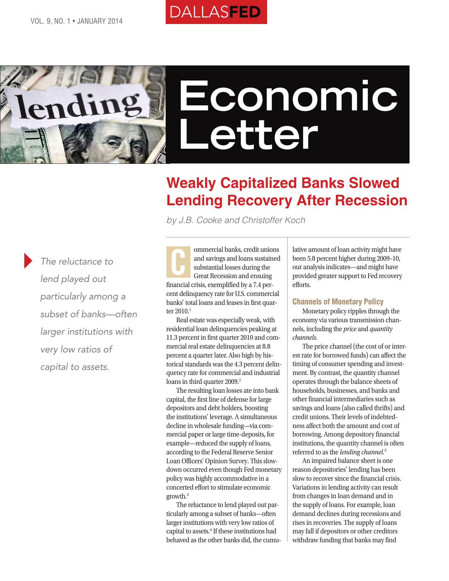



# **Economic Letter**

## **Weakly Capitalized Banks Slowed Lending Recovery After Recession**

*by J.B. Cooke and Christoffer Koch*

*The reluctance to lend played out particularly among a subset of banks—often larger institutions with very low ratios of capital to assets.*

ommercial banks, credit unions and savings and loans sustained substantial losses during the Great Recession and ensuing financial crisis, exemplified by a 7.4 percent delinquency rate for U.S. commercial banks' total loans and leases in first quarter 2010.<sup>1</sup> C

Real estate was especially weak, with residential loan delinquencies peaking at 11.3 percent in first quarter 2010 and commercial real estate delinquencies at 8.8 percent a quarter later. Also high by historical standards was the 4.3 percent delinquency rate for commercial and industrial loans in third quarter 2009.<sup>2</sup>

The resulting loan losses ate into bank capital, the first line of defense for large depositors and debt holders, boosting the institutions' leverage. A simultaneous decline in wholesale funding—via commercial paper or large time-deposits, for example—reduced the supply of loans, according to the Federal Reserve Senior Loan Officers' Opinion Survey. This slowdown occurred even though Fed monetary policy was highly accommodative in a concerted effort to stimulate economic growth.3

The reluctance to lend played out particularly among a subset of banks—often larger institutions with very low ratios of capital to assets.<sup>4</sup> If these institutions had behaved as the other banks did, the cumulative amount of loan activity might have been 5.8 percent higher during 2009–10, our analysis indicates—and might have provided greater support to Fed recovery efforts.

### Channels of Monetary Policy

Monetary policy ripples through the economy via various transmission channels, including the *price* and *quantity channels*.

The price channel (the cost of or interest rate for borrowed funds) can affect the timing of consumer spending and investment. By contrast, the quantity channel operates through the balance sheets of households, businesses, and banks and other financial intermediaries such as savings and loans (also called thrifts) and credit unions. Their levels of indebtedness affect both the amount and cost of borrowing. Among depository financial institutions, the quantity channel is often referred to as the *lending channel*. 5

An impaired balance sheet is one reason depositories' lending has been slow to recover since the financial crisis. Variations in lending activity can result from changes in loan demand and in the supply of loans. For example, loan demand declines during recessions and rises in recoveries. The supply of loans may fall if depositors or other creditors withdraw funding that banks may find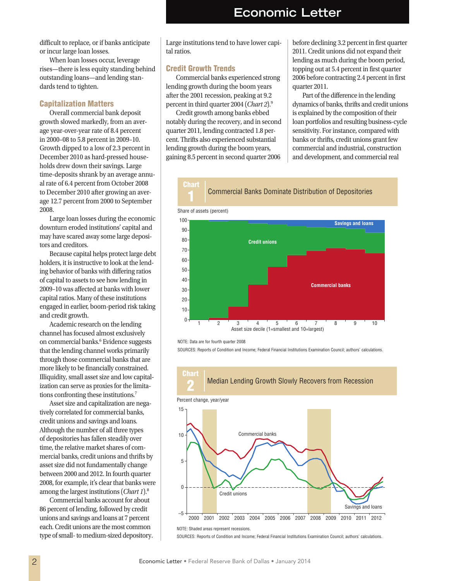difficult to replace, or if banks anticipate or incur large loan losses.

When loan losses occur, leverage rises—there is less equity standing behind outstanding loans—and lending standards tend to tighten.

#### Capitalization Matters

Overall commercial bank deposit growth slowed markedly, from an average year-over-year rate of 8.4 percent in 2000–08 to 5.8 percent in 2009–10. Growth dipped to a low of 2.3 percent in December 2010 as hard-pressed households drew down their savings. Large time-deposits shrank by an average annual rate of 6.4 percent from October 2008 to December 2010 after growing an average 12.7 percent from 2000 to September 2008.

Large loan losses during the economic downturn eroded institutions' capital and may have scared away some large depositors and creditors.

Because capital helps protect large debt holders, it is instructive to look at the lending behavior of banks with differing ratios of capital to assets to see how lending in 2009–10 was affected at banks with lower capital ratios. Many of these institutions engaged in earlier, boom-period risk taking and credit growth.

Academic research on the lending channel has focused almost exclusively on commercial banks.<sup>6</sup> Evidence suggests that the lending channel works primarily through those commercial banks that are more likely to be financially constrained. Illiquidity, small asset size and low capitalization can serve as proxies for the limitations confronting these institutions.7

Asset size and capitalization are negatively correlated for commercial banks, credit unions and savings and loans. Although the number of all three types of depositories has fallen steadily over time, the relative market shares of commercial banks, credit unions and thrifts by asset size did not fundamentally change between 2000 and 2012. In fourth quarter 2008, for example, it's clear that banks were among the largest institutions (*Chart 1*).8

Commercial banks account for about 86 percent of lending, followed by credit unions and savings and loans at 7 percent each. Credit unions are the most common type of small- to medium-sized depository. Large institutions tend to have lower capital ratios.

#### Credit Growth Trends

Commercial banks experienced strong lending growth during the boom years after the 2001 recession, peaking at 9.2 percent in third quarter 2004 (*Chart 2*).9

Credit growth among banks ebbed notably during the recovery, and in second quarter 2011, lending contracted 1.8 percent. Thrifts also experienced substantial lending growth during the boom years, gaining 8.5 percent in second quarter 2006

before declining 3.2 percent in first quarter 2011. Credit unions did not expand their lending as much during the boom period, topping out at 5.4 percent in first quarter 2006 before contracting 2.4 percent in first quarter 2011.

Part of the difference in the lending dynamics of banks, thrifts and credit unions is explained by the composition of their loan portfolios and resulting business-cycle sensitivity. For instance, compared with banks or thrifts, credit unions grant few commercial and industrial, construction and development, and commercial real





NOTE: Data are for fourth quarter 2008

SOURCES: Reports of Condition and Income; Federal Financial Institutions Examination Council; authors' calculations.



NOTE: Shaded areas represent recessions.

SOURCES: Reports of Condition and Income; Federal Financial Institutions Examination Council; authors' calculations.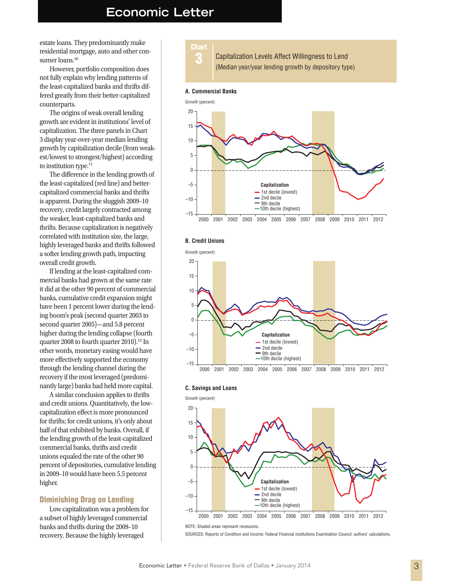## **Economic Letter**

estate loans. They predominantly make residential mortgage, auto and other consumer loans.<sup>10</sup>

However, portfolio composition does not fully explain why lending patterns of the least-capitalized banks and thrifts differed greatly from their better-capitalized counterparts.

The origins of weak overall lending growth are evident in institutions' level of capitalization. The three panels in Chart 3 display year-over-year median lending growth by capitalization decile (from weakest/lowest to strongest/highest) according to institution type.<sup>11</sup>

The difference in the lending growth of the least-capitalized (red line) and bettercapitalized commercial banks and thrifts is apparent. During the sluggish 2009–10 recovery, credit largely contracted among the weaker, least-capitalized banks and thrifts. Because capitalization is negatively correlated with institution size, the large, highly leveraged banks and thrifts followed a softer lending growth path, impacting overall credit growth.

If lending at the least-capitalized commercial banks had grown at the same rate it did at the other 90 percent of commercial banks, cumulative credit expansion might have been 1 percent lower during the lending boom's peak (second quarter 2003 to second quarter 2005)—and 5.8 percent higher during the lending collapse (fourth quarter 2008 to fourth quarter 2010).<sup>12</sup> In other words, monetary easing would have more effectively supported the economy through the lending channel during the recovery if the most leveraged (predominantly large) banks had held more capital.

A similar conclusion applies to thrifts and credit unions. Quantitatively, the lowcapitalization effect is more pronounced for thrifts; for credit unions, it's only about half of that exhibited by banks. Overall, if the lending growth of the least-capitalized commercial banks, thrifts and credit unions equaled the rate of the other 90 percent of depositories, cumulative lending in 2009–10 would have been 5.5 percent higher.

#### Diminishing Drag on Lending

Low capitalization was a problem for a subset of highly leveraged commercial banks and thrifts during the 2009–10 recovery. Because the highly leveraged



#### **A. Commercial Banks**







#### **C. Savings and Loans**



NOTE: Shaded areas represent recessions.

SOURCES: Reports of Condition and Income; Federal Financial Institutions Examination Council; authors' calculations.